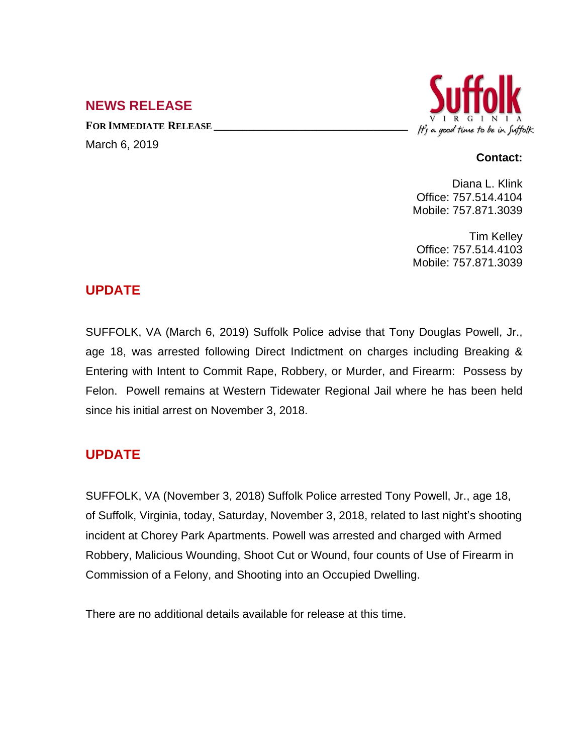## **NEWS RELEASE**

**FOR IMMEDIATE RELEASE \_\_\_\_\_\_\_\_\_\_\_\_\_\_\_\_\_\_\_\_\_\_\_\_\_\_\_\_\_\_\_\_\_\_** March 6, 2019



#### **Contact:**

Diana L. Klink Office: 757.514.4104 Mobile: 757.871.3039

Tim Kelley Office: 757.514.4103 Mobile: 757.871.3039

### **UPDATE**

SUFFOLK, VA (March 6, 2019) Suffolk Police advise that Tony Douglas Powell, Jr., age 18, was arrested following Direct Indictment on charges including Breaking & Entering with Intent to Commit Rape, Robbery, or Murder, and Firearm: Possess by Felon. Powell remains at Western Tidewater Regional Jail where he has been held since his initial arrest on November 3, 2018.

# **UPDATE**

SUFFOLK, VA (November 3, 2018) Suffolk Police arrested Tony Powell, Jr., age 18, of Suffolk, Virginia, today, Saturday, November 3, 2018, related to last night's shooting incident at Chorey Park Apartments. Powell was arrested and charged with Armed Robbery, Malicious Wounding, Shoot Cut or Wound, four counts of Use of Firearm in Commission of a Felony, and Shooting into an Occupied Dwelling.

There are no additional details available for release at this time.